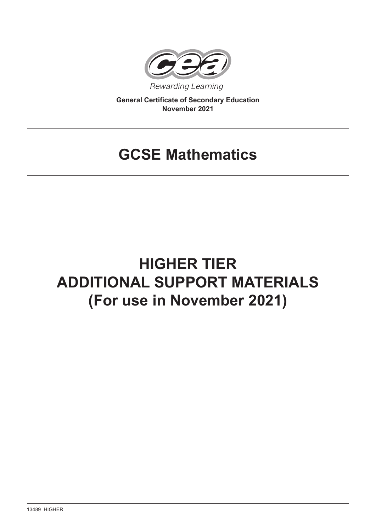

**General Certificate of Secondary Education November 2021**

## **GCSE Mathematics**

# **HIGHER TIER ADDITIONAL SUPPORT MATERIALS (For use in November 2021)**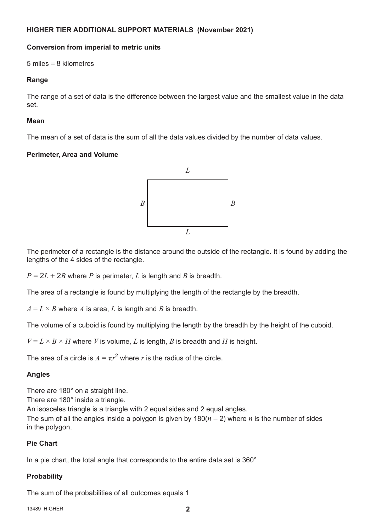## **HIGHER TIER ADDITIONAL SUPPORT MATERIALS (November 2021)**

## **Conversion from imperial to metric units**

5 miles **=** 8 kilometres

## **Range**

The range of a set of data is the difference between the largest value and the smallest value in the data set.

## **Mean**

The mean of a set of data is the sum of all the data values divided by the number of data values.

## **Perimeter, Area and Volume**



The perimeter of a rectangle is the distance around the outside of the rectangle. It is found by adding the lengths of the 4 sides of the rectangle.

 $P = 2L + 2B$  where *P* is perimeter, *L* is length and *B* is breadth.

The area of a rectangle is found by multiplying the length of the rectangle by the breadth.

 $A = L \times B$  where *A* is area, *L* is length and *B* is breadth.

The volume of a cuboid is found by multiplying the length by the breadth by the height of the cuboid.

 $V = L \times B \times H$  where *V* is volume, *L* is length, *B* is breadth and *H* is height.

The area of a circle is  $A = \pi r^2$  where *r* is the radius of the circle.

## **Angles**

There are 180° on a straight line.

There are 180° inside a triangle.

An isosceles triangle is a triangle with 2 equal sides and 2 equal angles.

The sum of all the angles inside a polygon is given by  $180(n-2)$  where *n* is the number of sides in the polygon.

## **Pie Chart**

In a pie chart, the total angle that corresponds to the entire data set is 360°

## **Probability**

The sum of the probabilities of all outcomes equals 1

13489 HIGHER **2**